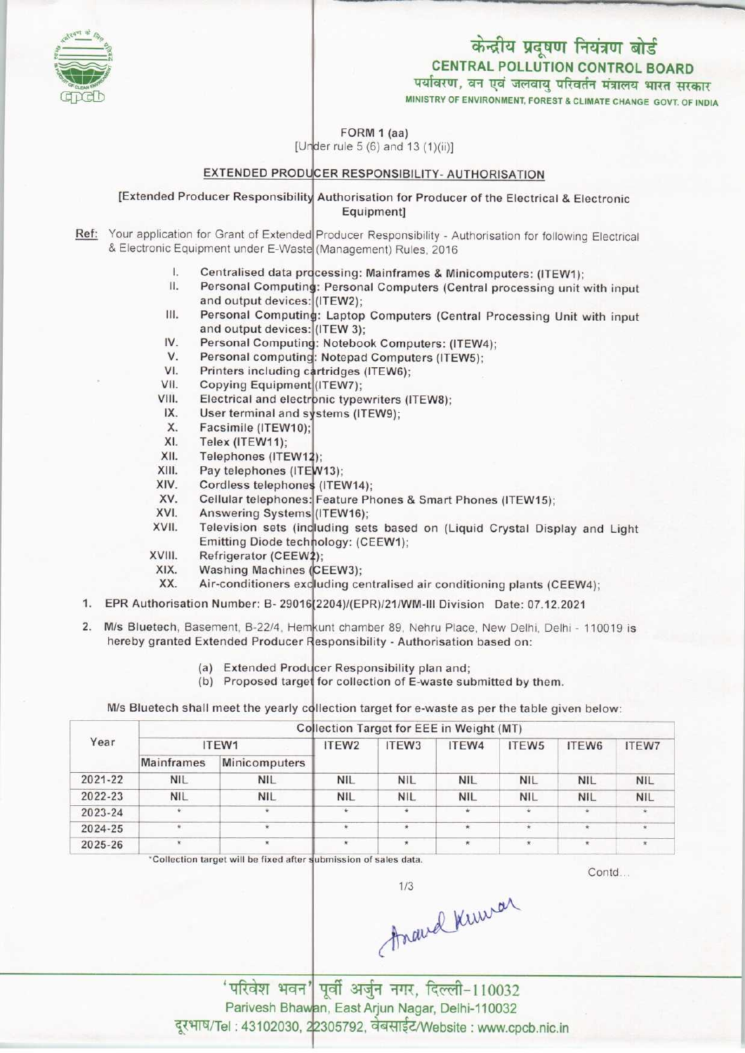# केन्द्रीय प्रदूषण नियंत्रण बोर्ड CENTRAL POLLUTION CONTROL BOARD पर्यावरण, वन एवं जलवायु परिवर्तन मंत्रालय भारत सरकार

MINISTRY OF ENVIRONMENT, FOREST & CLIMATE CHANGE GOVT. OF INDIA

FORM 1 (aa)

[Under rule 5  $(6)$  and 13  $(1)(ii)$ ]

## EXTENDED PRODUCER RESPONSIBILITY- AUTHORISATION

[Extended Producer Responsibility Authorisation for Producer of the Electrical & Electronic Equipment]

Ref: Your application for Grant of Extended Producer Responsibility - Authorisation for following Electrica & Electronic Equipment under E-Waste (Management) Rules, 2016

- l. Centralised data processing: Mainframes & Minicomputers: (ITEW1)
- II. Personal Computing: Personal Computers (Central processing unit with input<br>and output devices: (ITEW2);<br>III. Personal Computing: Laptop Computers (Central Processing Unit with input<br>and output devices: (ITEW 3): and output devices: (ITEW2);
- Personal Computing: Laptop Computers (Central Processing Unit with input and output devices: (ITEW 3); III. Personal Computing: Laptop Computers (Central Pi<br>and output devices: (ITEW 3);<br>IV. Personal Computing: Notebook Computers: (ITEW4);<br>V. Personal computing: Notepad Computers (ITEW5); and output devices<br>V. Personal Computinty<br>V. Personal computing<br>V. Printers including c
- 
- V. Personal computing: Notepad Computers (ITEW5)<br>VI. Printers including cartridges (ITEW6);<br>VII. Copying Equipment (ITEW7);<br>VIII. Electrical and electronic typewriters (ITEW8); IV. Personal Computin<br>V. Personal computing<br>VI. Printers including c<br>VII. Copving Equipmen
- Printers including cartridges (ITEW6);
- Copying Equipment (ITEW7);
- **Electrical and electronic typewriters (ITEW8)**;
- IX. User terminal and systems (ITEW9);
- Facsimile (ITEW10) X.
- Telex (ITEW11); XI.
- Telephones (ITEW1 XII.
- Pay telephones (ITEW13); XIII.
- Cordless telephones (ITEW14); XIV.
- Cellular telephones: Feature Phones & Smart Phones (ITEW15); XV.
- Answering Systems (ITEW16); XVI.
- Television sets (including sets based on (Liquid Crystal Display and Light Emitting Diode technology: (CEEW1); XVII.
- Refrigerator (CEEW2): XVIII.
- Washing Machines (CEEW3); XIX.
- Air-conditioners excluding centralised air conditioning plants (CEEW4); XX.
- 1. EPR Authorisation Number: B- 29016 2204)/(EPR)/21/WM-III Division Date: 07.12.2021
- 2. M/s Bluetech, Basement, B-22/4, Hem unt chamber 89, Nehru Place, New Delhi, Delhi 110019 is hereby granted Extended Producer Responsibility - Authorisation based on:
	- (a) Extended Producer Responsibility plan and
	- (a) Extended Producer Responsibility plan and;<br>(b) Proposed target for collection of E-waste submitted by them.

M/s Bluetech shall meet the yearly collection target for e-waste as per the table given below

| Year    | Collection Target for EEE in Weight (MT) |               |                   |                   |            |                      |            |              |  |  |  |
|---------|------------------------------------------|---------------|-------------------|-------------------|------------|----------------------|------------|--------------|--|--|--|
|         |                                          | ITEW1         | ITEW <sub>2</sub> | ITEW <sub>3</sub> | ITEW4      | ITEW <sub>5</sub>    | ITEW6      | <b>ITEW7</b> |  |  |  |
|         | <b>Mainframes</b>                        | Minicomputers |                   |                   |            |                      |            |              |  |  |  |
| 2021-22 | <b>NIL</b>                               | <b>NIL</b>    | <b>NIL</b>        | <b>NIL</b>        | <b>NIL</b> | <b>NIL</b>           | <b>NIL</b> | <b>NIL</b>   |  |  |  |
| 2022-23 | <b>NIL</b>                               | <b>NIL</b>    | <b>NIL</b>        | <b>NIL</b>        | <b>NIL</b> | <b>NIL</b>           | <b>NIL</b> | <b>NIL</b>   |  |  |  |
| 2023-24 | *                                        | $\star$       | $\star$           | $\star$           | ÷.         | $\ddot{\phantom{1}}$ | $\star$    |              |  |  |  |
| 2024-25 |                                          | $\star$       | $\star$           |                   | $\star$    |                      | ×          | $\star$      |  |  |  |
| 2025-26 |                                          | $\star$       | $\star$           | $\star$           | $\star$    | $\star$              | $\star$    |              |  |  |  |
|         |                                          |               |                   |                   |            |                      |            |              |  |  |  |

 $^{\circ}$ Collection target will be fixed after submission of sales data.

Contd...

Frand Kumar

'परिवेश भवन' पूर्वी अर्जुन नगर, दिल्ली-110032 Parivesh Bhawan, East Arjun Nagar, Delhi-110032 anveon Bhawan, East Anjah Ragar, Bellii-118832<br>: 43102030, 22305792, वेबसाईट/Website : www.cpcb.nic.in

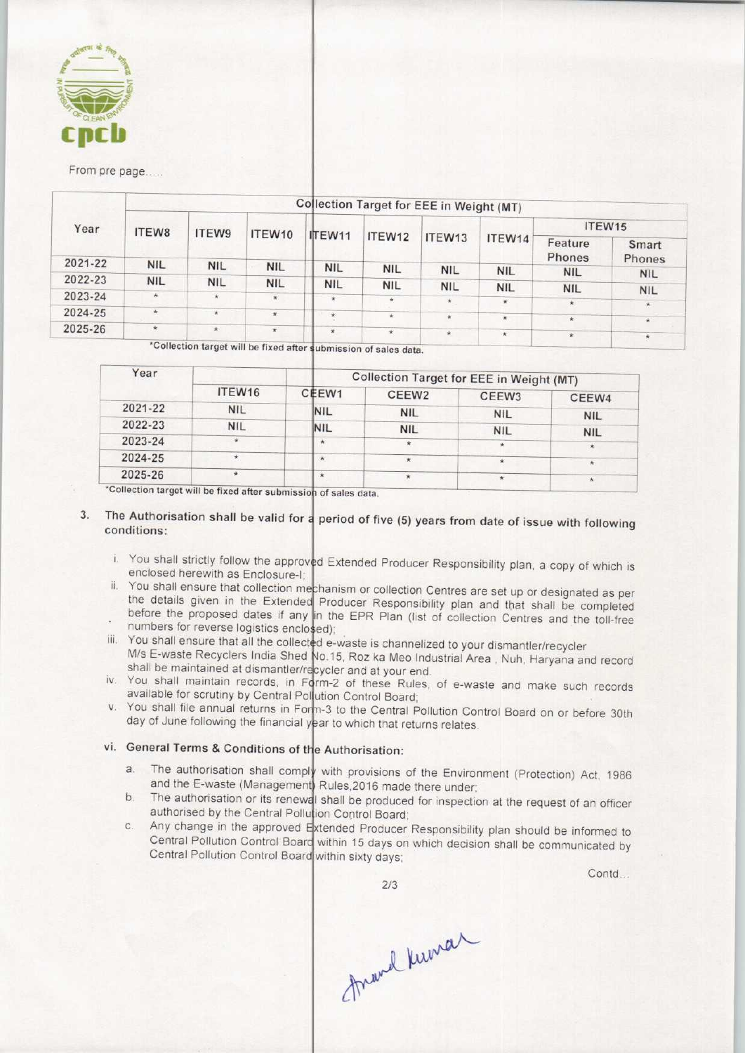

#### From pre page.....

| Year    | Collection Target for EEE in Weight (MT) |            |                   |            |                    |            |            |                   |                 |  |  |
|---------|------------------------------------------|------------|-------------------|------------|--------------------|------------|------------|-------------------|-----------------|--|--|
|         | <b>ITEW8</b>                             | ITEW9      | ITEW10            | ITEW11     | ITEW12             | ITEW13     | ITEW14     | ITEW15            |                 |  |  |
|         |                                          |            |                   |            |                    |            |            | Feature<br>Phones | Smart<br>Phones |  |  |
| 2021-22 | <b>NIL</b>                               | <b>NIL</b> | <b>NIL</b>        | <b>NIL</b> | <b>NIL</b>         | <b>NIL</b> | <b>NIL</b> | <b>NIL</b>        | <b>NIL</b>      |  |  |
| 2022-23 | <b>NIL</b>                               | <b>NIL</b> | <b>NIL</b>        | <b>NIL</b> | <b>NIL</b>         | <b>NIL</b> | <b>NIL</b> | <b>NIL</b>        |                 |  |  |
| 2023-24 | 宋                                        | $\star$    | $\star$           | $\star$    | $\bar{\mathbf{x}}$ |            |            |                   | <b>NIL</b>      |  |  |
| 2024-25 | $\mathbf{\hat{x}}$                       | $\star$    |                   |            |                    |            | $\star$    | $\star$           | $\pmb{\pi}$     |  |  |
|         |                                          |            | $\pmb{\hat{\pi}}$ | $\star$    | $\star$            | $\ast$     | $\star$    | $\star$           | $\star$         |  |  |
| 2025-26 | $\star$                                  | $\star$    | $\star$           | $\star$    | $\star$            | $\star$    | $\star$    | $\star$           | ×               |  |  |

'Collection target will be fixed after submission of sales data.

|                    | Collection Target for EEE in Weight (MT) |                   |                   |                          |  |  |
|--------------------|------------------------------------------|-------------------|-------------------|--------------------------|--|--|
| ITEW <sub>16</sub> | CEEW1                                    | CEEW <sub>2</sub> | CEEW <sub>3</sub> | CEEW4                    |  |  |
| <b>NIL</b>         | <b>NIL</b>                               | <b>NIL</b>        |                   | <b>NIL</b>               |  |  |
| <b>NIL</b>         | <b>NIL</b>                               | <b>NIL</b>        |                   | <b>NIL</b>               |  |  |
| $\star$            | $\star$                                  |                   | ÷                 |                          |  |  |
|                    | $\boldsymbol{\pi}$                       | $\star$           |                   | $\star$                  |  |  |
| $\star$            | $\star$                                  |                   |                   | $\star$                  |  |  |
|                    |                                          |                   |                   | <b>NIL</b><br><b>NIL</b> |  |  |

\*Collection target will be fixed after submission of sales data.

## 3. The Authorisation shall be valid for a period of five (5) years from date of issue with following conditions:

- i. You shall strictly follow the approved Extended Producer Responsibility plan, a copy of which is enclosed herewith as Enclosure-I;
- ii. You shall ensure that collection mechanism or collection Centres are set up or designated as per the details given in the Extended Producer Responsibility plan and that shall be completed before the proposed dates if any in the EPR Plan (list of collection Centres and the toll-free numbers for reverse logistics enclosed)
- iii. You shall ensure that all the collected e-waste is channelized to your dismantler/recycler M/s E-waste Recyclers India Shed No.15, Roz ka Meo Industrial Area , Nuh, Haryana and record shall be maintained at dismantler/recycler and at your end
- iv. You shall maintain records, in Form-2 of these Rules, of e-waste and make such records available for scrutiny by Central Pollution Control Board
- v. You shall file annual returns in Form-3 to the Central Pollution Control Board on or before 30th day of June following the financial year to which that returns relates

# vi. General Terms & Conditions of the Authorisation:

- General Terms & Conditions of the Authorisation:<br>a. The authorisation shall comply with provisions of the Environment (Protection) Act, 1986 and the E-waste (Management) Rules, 2016 made there under shall be provisions of the Environment (Protection) Act, 1986<br>and the E-waste (Management) Rules, 2016 made there under;<br>b. The authorisation or its renewal shall be produced for inspection at the request of an officer
- authorised by the Central Pollution Control Board External Pollution Control Board;<br>
c. Any change in the approved Extended Producer Responsibility plan should be informed to<br>
c. Any change in the approved Extended Producer Responsibility plan should be informed to
- Central Pollution Control Board within 15 days on which decision shall be communicated by Central Pollution Control Board within sixty days

2/3

Contd...

frand Kuman